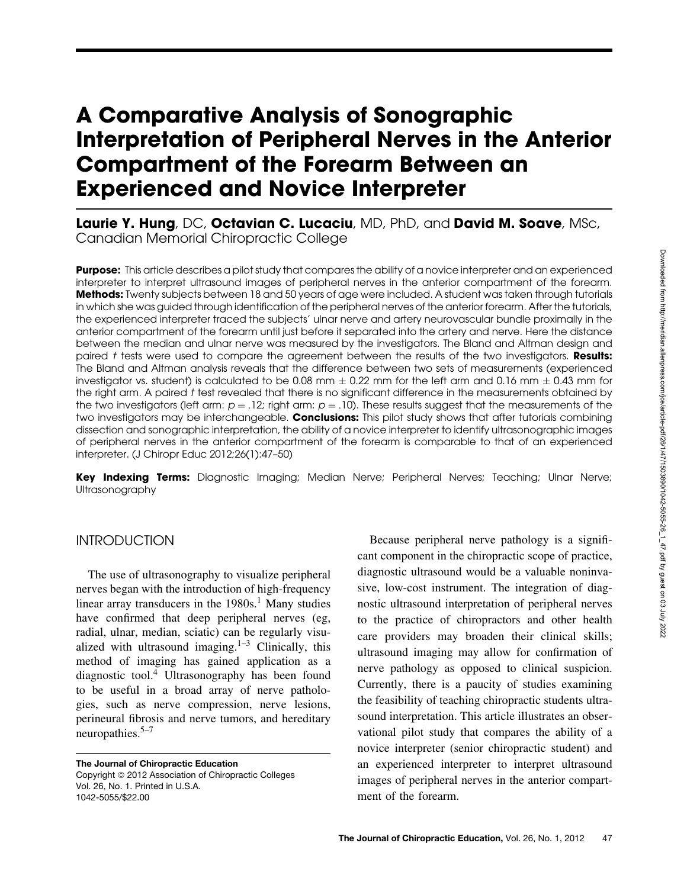# **A Comparative Analysis of Sonographic Interpretation of Peripheral Nerves in the Anterior Compartment of the Forearm Between an Experienced and Novice Interpreter**

**Laurie Y. Hung**, DC, **Octavian C. Lucaciu**, MD, PhD, and **David M. Soave**, MSc, Canadian Memorial Chiropractic College

**Purpose:** This article describes a pilot study that compares the ability of a novice interpreter and an experienced interpreter to interpret ultrasound images of peripheral nerves in the anterior compartment of the forearm. **Methods:** Twenty subjects between 18 and 50 years of age were included. A student was taken through tutorials in which she was guided through identification of the peripheral nerves of the anterior forearm. After the tutorials, the experienced interpreter traced the subjects' ulnar nerve and artery neurovascular bundle proximally in the anterior compartment of the forearm until just before it separated into the artery and nerve. Here the distance between the median and ulnar nerve was measured by the investigators. The Bland and Altman design and paired t tests were used to compare the agreement between the results of the two investigators. **Results:** The Bland and Altman analysis reveals that the difference between two sets of measurements (experienced investigator vs. student) is calculated to be 0.08 mm  $\pm$  0.22 mm for the left arm and 0.16 mm  $\pm$  0.43 mm for the right arm. A paired t test revealed that there is no significant difference in the measurements obtained by the two investigators (left arm:  $p = 0.12$ ; right arm:  $p = 0.10$ ). These results suggest that the measurements of the two investigators may be interchangeable. **Conclusions:** This pilot study shows that after tutorials combining dissection and sonographic interpretation, the ability of a novice interpreter to identify ultrasonographic images of peripheral nerves in the anterior compartment of the forearm is comparable to that of an experienced interpreter. (J Chiropr Educ 2012;26(1):47–50)

**Key Indexing Terms:** Diagnostic Imaging; Median Nerve; Peripheral Nerves; Teaching; Ulnar Nerve; Ultrasonography

### **INTRODUCTION**

The use of ultrasonography to visualize peripheral nerves began with the introduction of high-frequency linear array transducers in the  $1980s<sup>1</sup>$  Many studies have confirmed that deep peripheral nerves (eg, radial, ulnar, median, sciatic) can be regularly visualized with ultrasound imaging. $1-3$  Clinically, this method of imaging has gained application as a diagnostic tool.4 Ultrasonography has been found to be useful in a broad array of nerve pathologies, such as nerve compression, nerve lesions, perineural fibrosis and nerve tumors, and hereditary neuropathies.<sup>5–7</sup>

**The Journal of Chiropractic Education** Copyright © 2012 Association of Chiropractic Colleges Vol. 26, No. 1. Printed in U.S.A. 1042-5055/\$22.00

Because peripheral nerve pathology is a significant component in the chiropractic scope of practice, diagnostic ultrasound would be a valuable noninvasive, low-cost instrument. The integration of diagnostic ultrasound interpretation of peripheral nerves to the practice of chiropractors and other health care providers may broaden their clinical skills; ultrasound imaging may allow for confirmation of nerve pathology as opposed to clinical suspicion. Currently, there is a paucity of studies examining the feasibility of teaching chiropractic students ultrasound interpretation. This article illustrates an observational pilot study that compares the ability of a novice interpreter (senior chiropractic student) and an experienced interpreter to interpret ultrasound images of peripheral nerves in the anterior compartment of the forearm.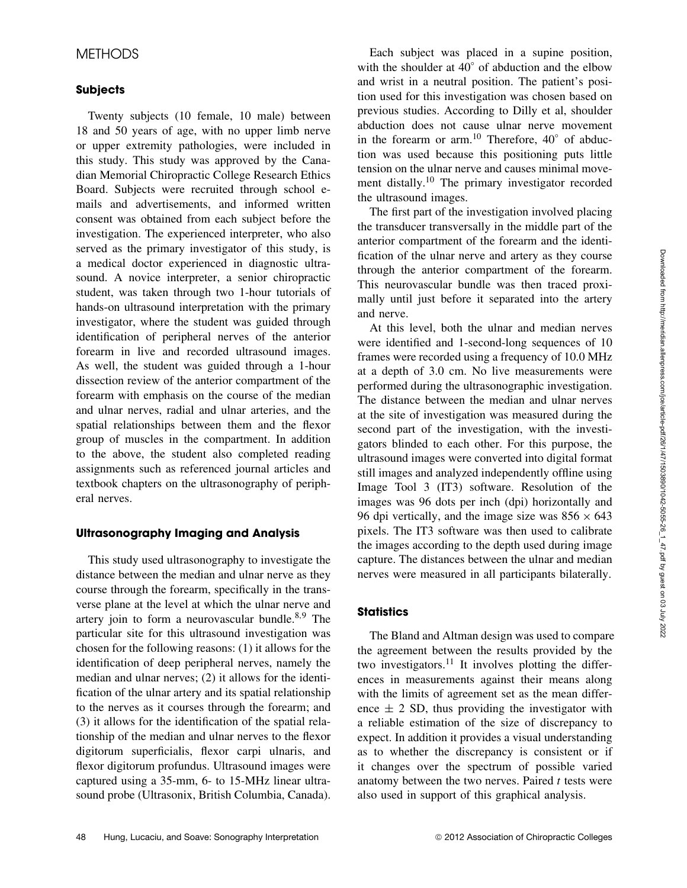# **METHODS**

#### **Subjects**

Twenty subjects (10 female, 10 male) between 18 and 50 years of age, with no upper limb nerve or upper extremity pathologies, were included in this study. This study was approved by the Canadian Memorial Chiropractic College Research Ethics Board. Subjects were recruited through school emails and advertisements, and informed written consent was obtained from each subject before the investigation. The experienced interpreter, who also served as the primary investigator of this study, is a medical doctor experienced in diagnostic ultrasound. A novice interpreter, a senior chiropractic student, was taken through two 1-hour tutorials of hands-on ultrasound interpretation with the primary investigator, where the student was guided through identification of peripheral nerves of the anterior forearm in live and recorded ultrasound images. As well, the student was guided through a 1-hour dissection review of the anterior compartment of the forearm with emphasis on the course of the median and ulnar nerves, radial and ulnar arteries, and the spatial relationships between them and the flexor group of muscles in the compartment. In addition to the above, the student also completed reading assignments such as referenced journal articles and textbook chapters on the ultrasonography of peripheral nerves.

### **Ultrasonography Imaging and Analysis**

This study used ultrasonography to investigate the distance between the median and ulnar nerve as they course through the forearm, specifically in the transverse plane at the level at which the ulnar nerve and artery join to form a neurovascular bundle. $8,9$  The particular site for this ultrasound investigation was chosen for the following reasons: (1) it allows for the identification of deep peripheral nerves, namely the median and ulnar nerves; (2) it allows for the identification of the ulnar artery and its spatial relationship to the nerves as it courses through the forearm; and (3) it allows for the identification of the spatial relationship of the median and ulnar nerves to the flexor digitorum superficialis, flexor carpi ulnaris, and flexor digitorum profundus. Ultrasound images were captured using a 35-mm, 6- to 15-MHz linear ultrasound probe (Ultrasonix, British Columbia, Canada).

Each subject was placed in a supine position, with the shoulder at 40° of abduction and the elbow and wrist in a neutral position. The patient's position used for this investigation was chosen based on previous studies. According to Dilly et al, shoulder abduction does not cause ulnar nerve movement in the forearm or arm.<sup>10</sup> Therefore,  $40^{\circ}$  of abduction was used because this positioning puts little tension on the ulnar nerve and causes minimal movement distally.<sup>10</sup> The primary investigator recorded the ultrasound images.

The first part of the investigation involved placing the transducer transversally in the middle part of the anterior compartment of the forearm and the identification of the ulnar nerve and artery as they course through the anterior compartment of the forearm. This neurovascular bundle was then traced proximally until just before it separated into the artery and nerve.

At this level, both the ulnar and median nerves were identified and 1-second-long sequences of 10 frames were recorded using a frequency of 10.0 MHz at a depth of 3.0 cm. No live measurements were performed during the ultrasonographic investigation. The distance between the median and ulnar nerves at the site of investigation was measured during the second part of the investigation, with the investigators blinded to each other. For this purpose, the ultrasound images were converted into digital format still images and analyzed independently offline using Image Tool 3 (IT3) software. Resolution of the images was 96 dots per inch (dpi) horizontally and 96 dpi vertically, and the image size was  $856 \times 643$ pixels. The IT3 software was then used to calibrate the images according to the depth used during image capture. The distances between the ulnar and median nerves were measured in all participants bilaterally.

### **Statistics**

The Bland and Altman design was used to compare the agreement between the results provided by the two investigators.<sup>11</sup> It involves plotting the differences in measurements against their means along with the limits of agreement set as the mean difference  $\pm$  2 SD, thus providing the investigator with a reliable estimation of the size of discrepancy to expect. In addition it provides a visual understanding as to whether the discrepancy is consistent or if it changes over the spectrum of possible varied anatomy between the two nerves. Paired  $t$  tests were also used in support of this graphical analysis.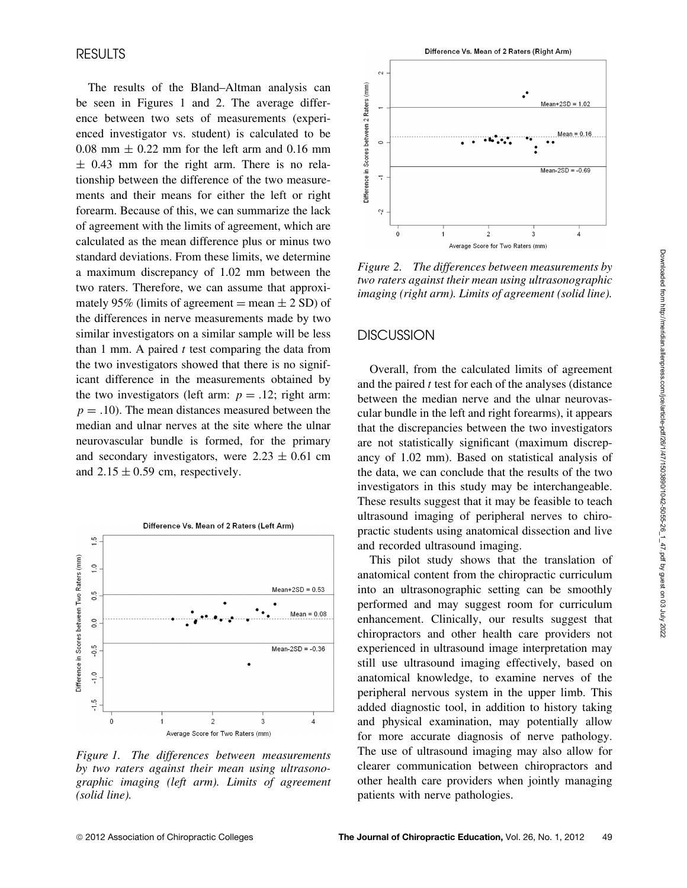# RESULTS

The results of the Bland–Altman analysis can be seen in Figures 1 and 2. The average difference between two sets of measurements (experienced investigator vs. student) is calculated to be 0.08 mm  $\pm$  0.22 mm for the left arm and 0.16 mm  $\pm$  0.43 mm for the right arm. There is no relationship between the difference of the two measurements and their means for either the left or right forearm. Because of this, we can summarize the lack of agreement with the limits of agreement, which are calculated as the mean difference plus or minus two standard deviations. From these limits, we determine a maximum discrepancy of 1.02 mm between the two raters. Therefore, we can assume that approximately 95% (limits of agreement  $=$  mean  $\pm$  2 SD) of the differences in nerve measurements made by two similar investigators on a similar sample will be less than 1 mm. A paired  $t$  test comparing the data from the two investigators showed that there is no significant difference in the measurements obtained by the two investigators (left arm:  $p = .12$ ; right arm:  $p = .10$ ). The mean distances measured between the median and ulnar nerves at the site where the ulnar neurovascular bundle is formed, for the primary and secondary investigators, were  $2.23 \pm 0.61$  cm and  $2.15 \pm 0.59$  cm, respectively.



*Figure 1. The differences between measurements by two raters against their mean using ultrasonographic imaging (left arm). Limits of agreement (solid line).*



*Figure 2. The differences between measurements by two raters against their mean using ultrasonographic imaging (right arm). Limits of agreement (solid line).*

# **DISCUSSION**

Overall, from the calculated limits of agreement and the paired  $t$  test for each of the analyses (distance between the median nerve and the ulnar neurovascular bundle in the left and right forearms), it appears that the discrepancies between the two investigators are not statistically significant (maximum discrepancy of 1.02 mm). Based on statistical analysis of the data, we can conclude that the results of the two investigators in this study may be interchangeable. These results suggest that it may be feasible to teach ultrasound imaging of peripheral nerves to chiropractic students using anatomical dissection and live and recorded ultrasound imaging.

This pilot study shows that the translation of anatomical content from the chiropractic curriculum into an ultrasonographic setting can be smoothly performed and may suggest room for curriculum enhancement. Clinically, our results suggest that chiropractors and other health care providers not experienced in ultrasound image interpretation may still use ultrasound imaging effectively, based on anatomical knowledge, to examine nerves of the peripheral nervous system in the upper limb. This added diagnostic tool, in addition to history taking and physical examination, may potentially allow for more accurate diagnosis of nerve pathology. The use of ultrasound imaging may also allow for clearer communication between chiropractors and other health care providers when jointly managing patients with nerve pathologies.